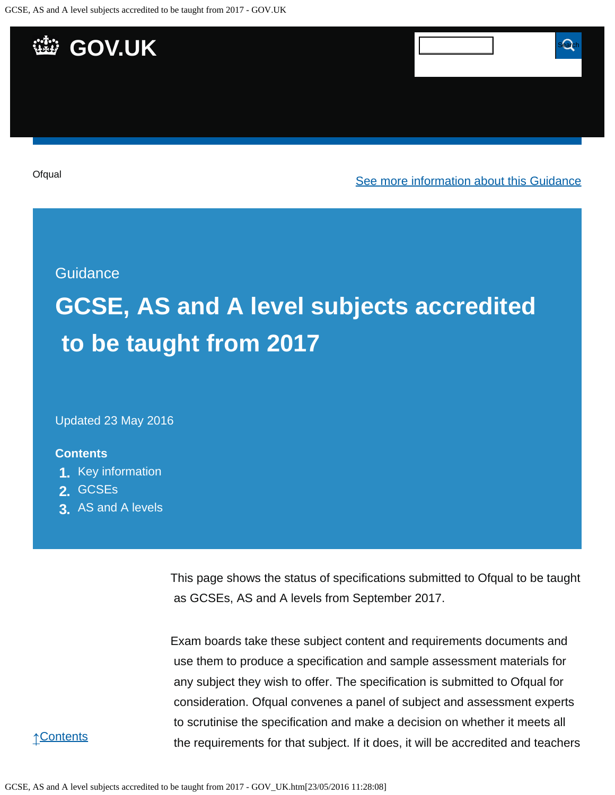

Updated 23 May 2016

#### **Contents**

- **1.** [Key information](https://www.gov.uk/government/publications/accreditation-of-gcses-as-a-levels-for-teaching-from-2017/gcse-as-and-a-level-subjects-accredited-to-be-taught-from-2017#key-information)
- **2.** [GCSEs](https://www.gov.uk/government/publications/accreditation-of-gcses-as-a-levels-for-teaching-from-2017/gcse-as-and-a-level-subjects-accredited-to-be-taught-from-2017#gcses)
- **3.** [AS and A levels](https://www.gov.uk/government/publications/accreditation-of-gcses-as-a-levels-for-teaching-from-2017/gcse-as-and-a-level-subjects-accredited-to-be-taught-from-2017#as-and-a-levels)

This page shows the status of specifications submitted to Ofqual to be taught as GCSEs, AS and A levels from September 2017.

Exam boards take these subject content and requirements documents and use them to produce a specification and sample assessment materials for any subject they wish to offer. The specification is submitted to Ofqual for consideration. Ofqual convenes a panel of subject and assessment experts to scrutinise the specification and make a decision on whether it meets all the requirements for that subject. If it does, it will be accredited and teachers

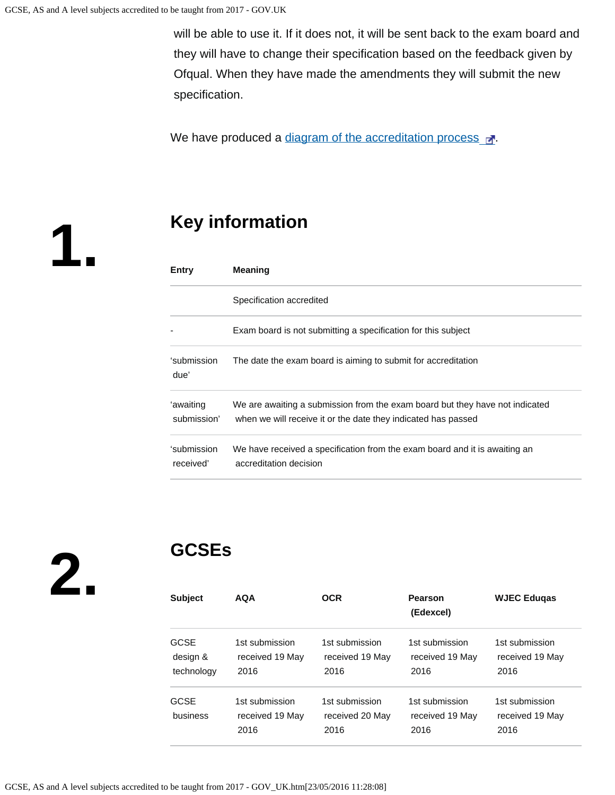will be able to use it. If it does not, it will be sent back to the exam board and they will have to change their specification based on the feedback given by Ofqual. When they have made the amendments they will submit the new specification.

We have produced a [diagram of the accreditation process](https://s-media-cache-ak0.pinimg.com/originals/ce/98/b8/ce98b80566a5db550a3c26889667b9f8.png)  $\mathbb{R}^n$ .

**1.**

# **Key information**

| Entry                    | <b>Meaning</b>                                                                                                                                |
|--------------------------|-----------------------------------------------------------------------------------------------------------------------------------------------|
|                          | Specification accredited                                                                                                                      |
|                          | Exam board is not submitting a specification for this subject                                                                                 |
| ʻsubmission<br>due'      | The date the exam board is aiming to submit for accreditation                                                                                 |
| ʻawaiting<br>submission' | We are awaiting a submission from the exam board but they have not indicated<br>when we will receive it or the date they indicated has passed |
| ʻsubmission<br>received' | We have received a specification from the exam board and it is awaiting an<br>accreditation decision                                          |

**2.**

# **GCSEs**

| <b>Subject</b>                        | <b>AQA</b>                                | OCR                                       | Pearson<br>(Edexcel)                      | <b>WJEC Edugas</b>                        |
|---------------------------------------|-------------------------------------------|-------------------------------------------|-------------------------------------------|-------------------------------------------|
| <b>GCSE</b><br>design &<br>technology | 1st submission<br>received 19 May<br>2016 | 1st submission<br>received 19 May<br>2016 | 1st submission<br>received 19 May<br>2016 | 1st submission<br>received 19 May<br>2016 |
| <b>GCSE</b><br>business               | 1st submission<br>received 19 May<br>2016 | 1st submission<br>received 20 May<br>2016 | 1st submission<br>received 19 May<br>2016 | 1st submission<br>received 19 May<br>2016 |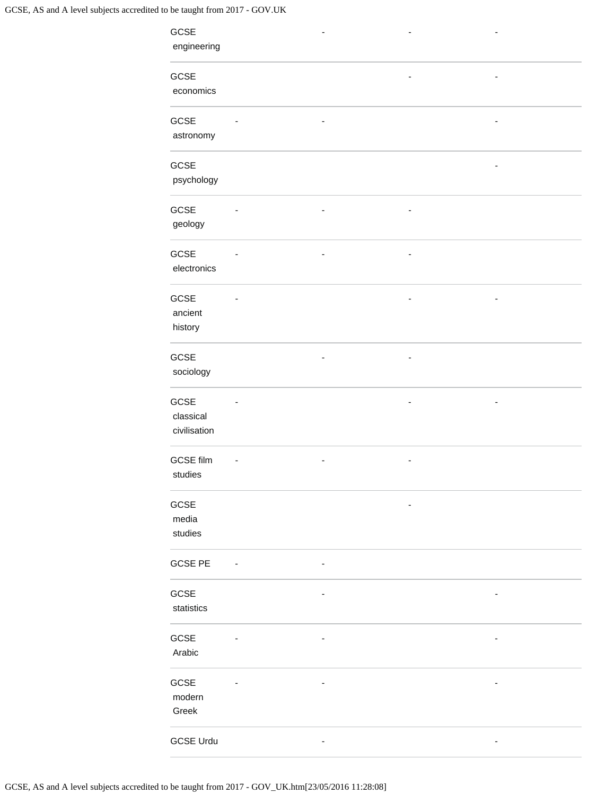| GCSE             |                          |                          |   |                          |  |
|------------------|--------------------------|--------------------------|---|--------------------------|--|
| engineering      |                          |                          |   |                          |  |
|                  |                          |                          |   |                          |  |
| GCSE             |                          |                          |   | $\overline{\phantom{m}}$ |  |
| economics        |                          |                          |   |                          |  |
|                  |                          |                          |   |                          |  |
| GCSE             |                          |                          |   |                          |  |
| astronomy        |                          |                          |   |                          |  |
|                  |                          |                          |   |                          |  |
| GCSE             |                          |                          |   |                          |  |
|                  |                          |                          |   |                          |  |
| psychology       |                          |                          |   |                          |  |
|                  |                          |                          |   |                          |  |
| GCSE             | $\overline{\phantom{a}}$ | $\overline{\phantom{a}}$ | ٠ |                          |  |
| geology          |                          |                          |   |                          |  |
|                  |                          |                          |   |                          |  |
| GCSE             |                          |                          |   |                          |  |
| electronics      |                          |                          |   |                          |  |
|                  |                          |                          |   |                          |  |
| GCSE             |                          |                          |   |                          |  |
| ancient          |                          |                          |   |                          |  |
| history          |                          |                          |   |                          |  |
|                  |                          |                          |   |                          |  |
| GCSE             |                          |                          |   |                          |  |
| sociology        |                          |                          |   |                          |  |
|                  |                          |                          |   |                          |  |
| GCSE             |                          |                          |   |                          |  |
| classical        |                          |                          |   |                          |  |
| civilisation     |                          |                          |   |                          |  |
|                  |                          |                          |   |                          |  |
| <b>GCSE film</b> |                          |                          |   |                          |  |
|                  |                          |                          |   |                          |  |
| studies          |                          |                          |   |                          |  |
|                  |                          |                          |   |                          |  |
| GCSE             |                          |                          |   |                          |  |
| media            |                          |                          |   |                          |  |
| studies          |                          |                          |   |                          |  |
|                  |                          |                          |   |                          |  |
| <b>GCSE PE</b>   | $\sim$ $-$               | ٠                        |   |                          |  |
|                  |                          |                          |   |                          |  |
| GCSE             |                          |                          |   | ۰                        |  |
| statistics       |                          |                          |   |                          |  |
|                  |                          |                          |   |                          |  |
| GCSE             | $\overline{\phantom{a}}$ | $\overline{\phantom{m}}$ |   | $\overline{\phantom{a}}$ |  |
| Arabic           |                          |                          |   |                          |  |
|                  |                          |                          |   |                          |  |
| GCSE             |                          | $\overline{\phantom{a}}$ |   | $\overline{\phantom{a}}$ |  |
| modern           |                          |                          |   |                          |  |
| Greek            |                          |                          |   |                          |  |
|                  |                          |                          |   |                          |  |
|                  |                          |                          |   |                          |  |
| <b>GCSE Urdu</b> |                          | ۰                        |   | $\overline{\phantom{a}}$ |  |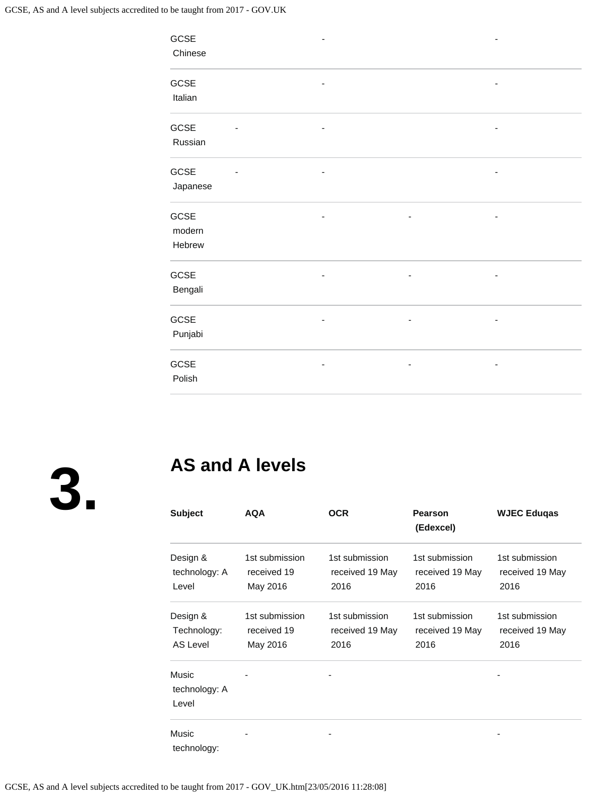| GCSE     | ۰ |   | -                        |
|----------|---|---|--------------------------|
| Chinese  |   |   |                          |
|          |   |   |                          |
| GCSE     | ۰ |   | ۰                        |
| Italian  |   |   |                          |
|          |   |   |                          |
| GCSE     | - |   |                          |
| Russian  |   |   |                          |
|          |   |   |                          |
| GCSE     |   |   |                          |
| Japanese |   |   |                          |
|          |   |   |                          |
| GCSE     | - | ٠ | $\overline{\phantom{0}}$ |
| modern   |   |   |                          |
|          |   |   |                          |
| Hebrew   |   |   |                          |
| GCSE     | - | ٠ | $\overline{\phantom{a}}$ |
|          |   |   |                          |
| Bengali  |   |   |                          |
| GCSE     | - |   | ٠                        |
|          |   |   |                          |
| Punjabi  |   |   |                          |
|          |   |   |                          |
| GCSE     |   |   |                          |
| Polish   |   |   |                          |
|          |   |   |                          |

**3.**

# **AS and A levels**

| <b>Subject</b>                      | <b>AQA</b>                                | <b>OCR</b>                                | Pearson<br>(Edexcel)                      | <b>WJEC Eduqas</b>                        |
|-------------------------------------|-------------------------------------------|-------------------------------------------|-------------------------------------------|-------------------------------------------|
| Design &<br>technology: A<br>Level  | 1st submission<br>received 19<br>May 2016 | 1st submission<br>received 19 May<br>2016 | 1st submission<br>received 19 May<br>2016 | 1st submission<br>received 19 May<br>2016 |
| Design &<br>Technology:<br>AS Level | 1st submission<br>received 19<br>May 2016 | 1st submission<br>received 19 May<br>2016 | 1st submission<br>received 19 May<br>2016 | 1st submission<br>received 19 May<br>2016 |
| Music<br>technology: A<br>Level     |                                           |                                           |                                           |                                           |
| Music<br>technology:                |                                           |                                           |                                           |                                           |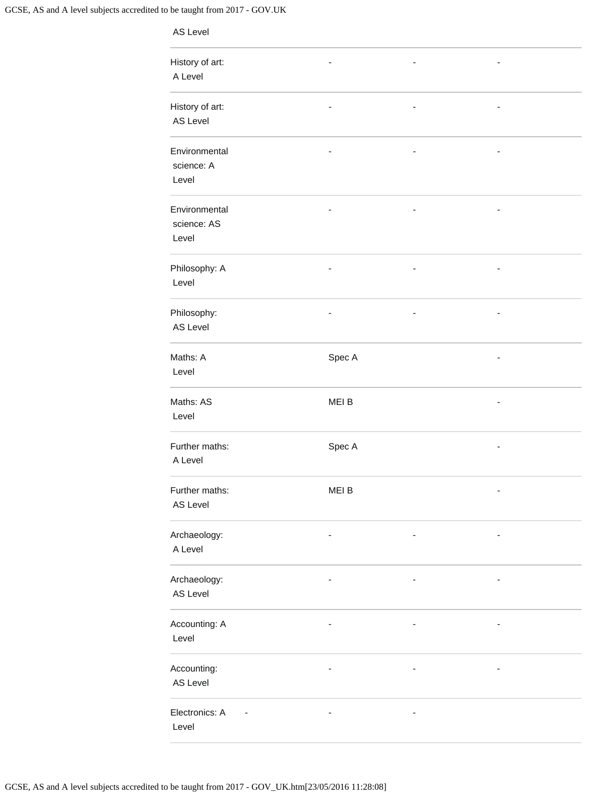| AS Level                              |                              |                          |   |  |
|---------------------------------------|------------------------------|--------------------------|---|--|
| History of art:<br>A Level            | $\qquad \qquad \blacksquare$ | ۰                        | ۰ |  |
| History of art:<br>AS Level           | $\qquad \qquad \blacksquare$ | $\overline{\phantom{m}}$ | - |  |
| Environmental<br>science: A<br>Level  |                              |                          |   |  |
| Environmental<br>science: AS<br>Level |                              |                          |   |  |
| Philosophy: A<br>Level                | $\overline{\phantom{m}}$     | $\overline{\phantom{m}}$ |   |  |
| Philosophy:<br>AS Level               |                              | $\overline{\phantom{a}}$ |   |  |
| Maths: A<br>Level                     | Spec A                       |                          |   |  |
| Maths: AS<br>Level                    | MEI B                        |                          | - |  |
| Further maths:<br>A Level             | Spec A                       |                          |   |  |
| Further maths:<br>AS Level            | MEI B                        |                          |   |  |
| Archaeology:<br>A Level               |                              |                          |   |  |
| Archaeology:<br>AS Level              |                              |                          |   |  |
| Accounting: A<br>Level                | ۰                            | -                        |   |  |
| Accounting:<br>AS Level               |                              | -                        |   |  |
| Electronics: A<br>Level               | ۰                            | ۰                        |   |  |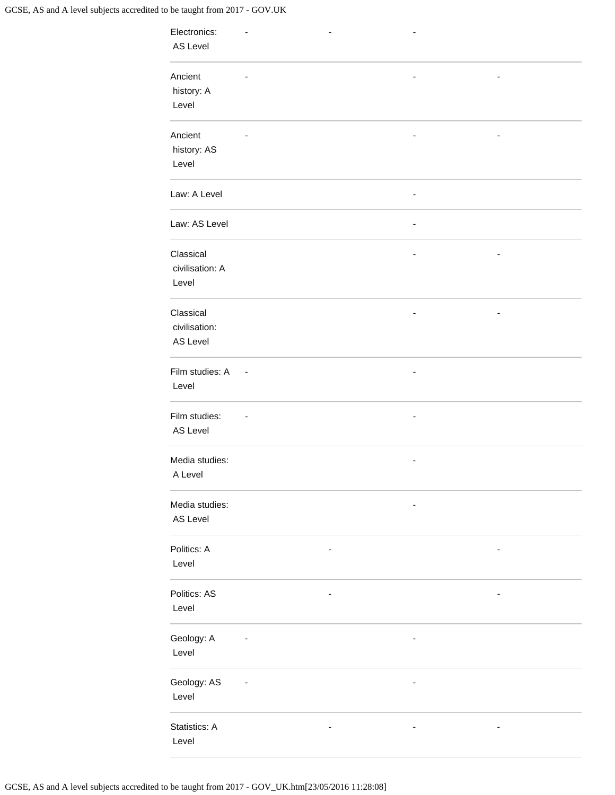| Electronics:<br>AS Level               |                          | $\overline{\phantom{a}}$ | ٠ |   |  |
|----------------------------------------|--------------------------|--------------------------|---|---|--|
| Ancient<br>history: A<br>Level         |                          |                          |   |   |  |
| Ancient<br>history: AS<br>Level        |                          |                          |   |   |  |
| Law: A Level                           |                          |                          | - |   |  |
| Law: AS Level                          |                          |                          | ۰ |   |  |
| Classical<br>civilisation: A<br>Level  |                          |                          | ۰ |   |  |
| Classical<br>civilisation:<br>AS Level |                          |                          |   |   |  |
| Film studies: A<br>Level               | $\overline{\phantom{a}}$ |                          |   |   |  |
| Film studies:<br>AS Level              |                          |                          | - |   |  |
| Media studies:<br>A Level              |                          |                          |   |   |  |
| Media studies:<br>AS Level             |                          |                          |   |   |  |
| Politics: A<br>Level                   |                          | ۰                        |   |   |  |
| Politics: AS<br>Level                  |                          | $\overline{\phantom{a}}$ |   | - |  |
| Geology: A<br>Level                    |                          |                          | - |   |  |
| Geology: AS<br>Level                   |                          |                          | - |   |  |
| Statistics: A<br>Level                 |                          |                          |   |   |  |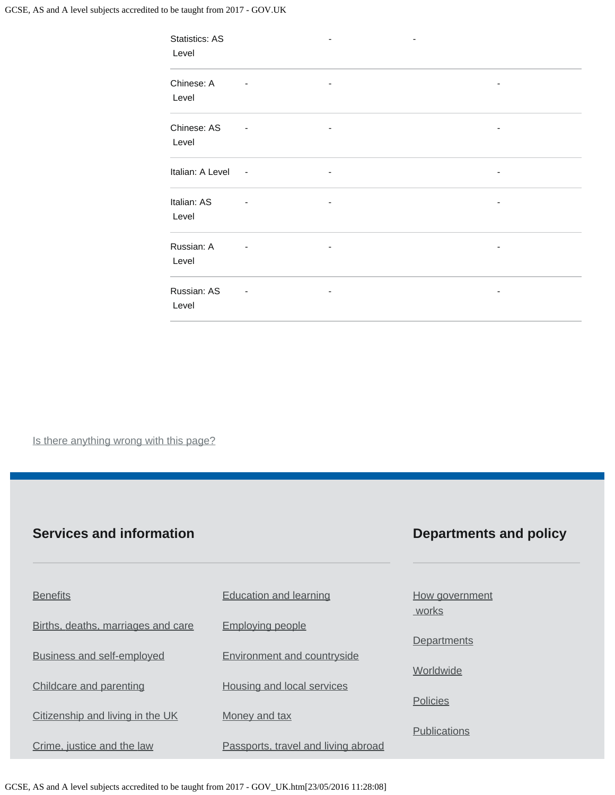| <b>Statistics: AS</b><br>Level |                          |   |   |  |
|--------------------------------|--------------------------|---|---|--|
| Chinese: A<br>Level            |                          | ٠ |   |  |
| Chinese: AS<br>Level           |                          |   |   |  |
| Italian: A Level               | $\sim$                   | ۰ |   |  |
| Italian: AS<br>Level           | $\overline{\phantom{a}}$ | ٠ | ٠ |  |
| Russian: A<br>Level            |                          | ۰ |   |  |
| Russian: AS<br>Level           |                          |   |   |  |

Is there anything wrong with this page?

#### **Services and information**

### **Departments and policy**

| <b>Benefits</b>                    | <b>Education and learning</b>       | How government<br>works |
|------------------------------------|-------------------------------------|-------------------------|
| Births, deaths, marriages and care | <b>Employing people</b>             |                         |
|                                    |                                     | <b>Departments</b>      |
| <b>Business and self-employed</b>  | <b>Environment and countryside</b>  |                         |
|                                    |                                     | Worldwide               |
| Childcare and parenting            | Housing and local services          |                         |
|                                    |                                     | <b>Policies</b>         |
| Citizenship and living in the UK   | Money and tax                       |                         |
|                                    |                                     | <b>Publications</b>     |
| Crime, justice and the law         | Passports, travel and living abroad |                         |

GCSE, AS and A level subjects accredited to be taught from 2017 - GOV\_UK.htm[23/05/2016 11:28:08]